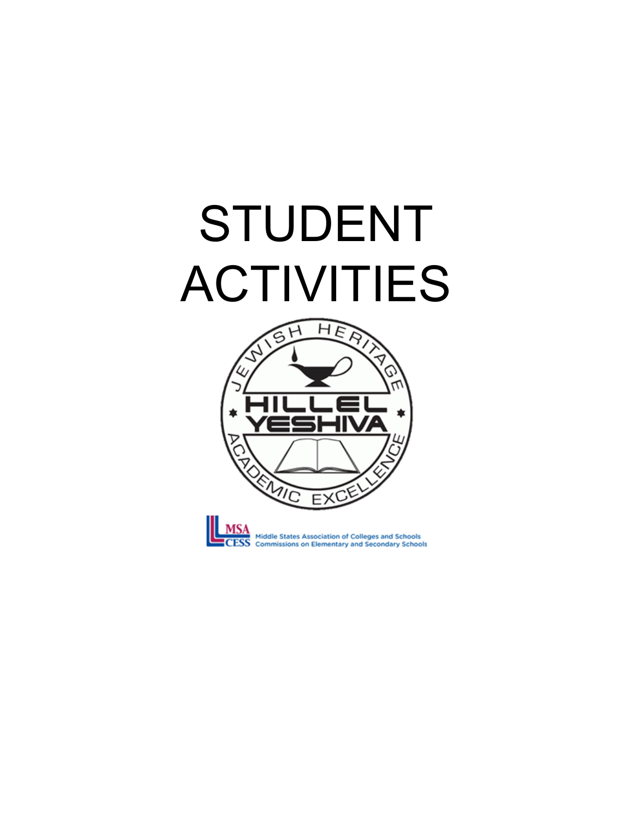## STUDENT ACTIVITIES





**MSA**<br>
Middle States Association of Colleges and Schools<br>
CESS Commissions on Elementary and Secondary Schools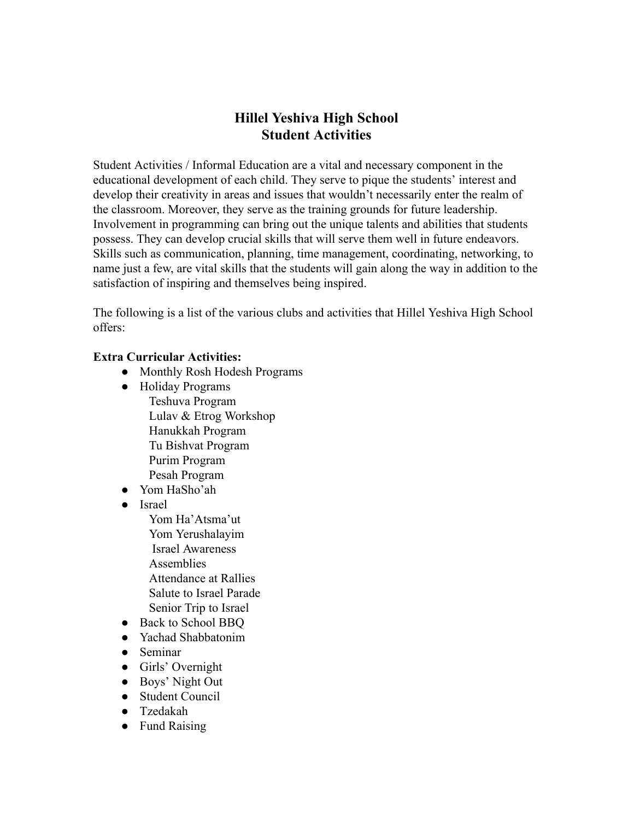## **Hillel Yeshiva High School Student Activities**

Student Activities / Informal Education are a vital and necessary component in the educational development of each child. They serve to pique the students' interest and develop their creativity in areas and issues that wouldn't necessarily enter the realm of the classroom. Moreover, they serve as the training grounds for future leadership. Involvement in programming can bring out the unique talents and abilities that students possess. They can develop crucial skills that will serve them well in future endeavors. Skills such as communication, planning, time management, coordinating, networking, to name just a few, are vital skills that the students will gain along the way in addition to the satisfaction of inspiring and themselves being inspired.

The following is a list of the various clubs and activities that Hillel Yeshiva High School offers:

## **Extra Curricular Activities:**

- Monthly Rosh Hodesh Programs
- Holiday Programs Teshuva Program Lulav & Etrog Workshop Hanukkah Program Tu Bishvat Program Purim Program Pesah Program
- Yom HaSho'ah
- Israel
	- Yom Ha'Atsma'ut Yom Yerushalayim Israel Awareness **Assemblies**  Attendance at Rallies Salute to Israel Parade Senior Trip to Israel
- Back to School BBO
- Yachad Shabbatonim
- Seminar
- Girls' Overnight
- Boys' Night Out
- Student Council
- Tzedakah
- Fund Raising